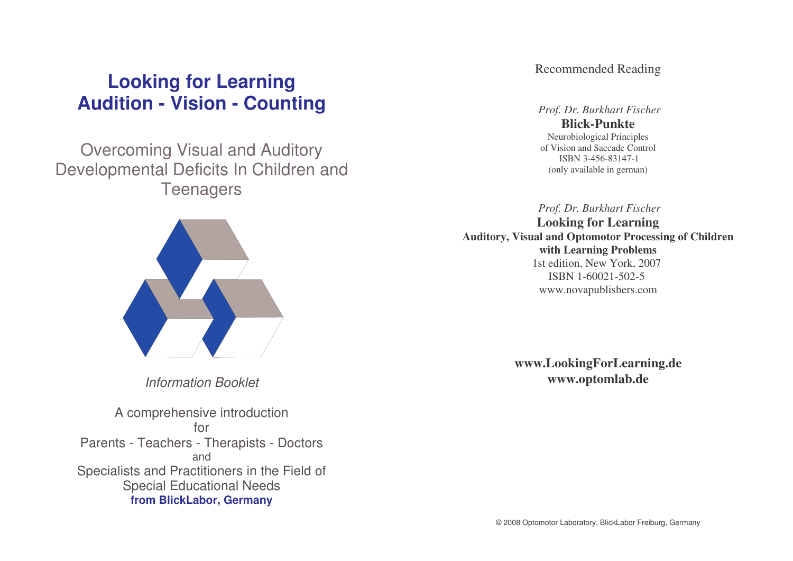# **Looking for Learning Audition - Vision - Counting**

# Overcoming Visual and Auditory Developmental Deficits In Children and **Teenagers**



*Information Booklet*

A comprehensive introduction forParents - Teachers - Therapists - Doctors andSpecialists and Practitioners in the Field of Special Educational Needs **from BlickLabor, Germany**

Recommended Reading

*Prof. Dr. Burkhart Fischer* **Blick-Punkte**Neurobiological Principles of Vision and Saccade Control ISBN 3-456-83147-1 (only available in german)

*Prof. Dr. Burkhart Fischer* **Looking for Learning Auditory, Visual and Optomotor Processing of Children with Learning Problems** 1st edition, New York, 2007 ISBN 1-60021-502-5 www.novapublishers.com

> **www.LookingForLearning.de www.optomlab.de**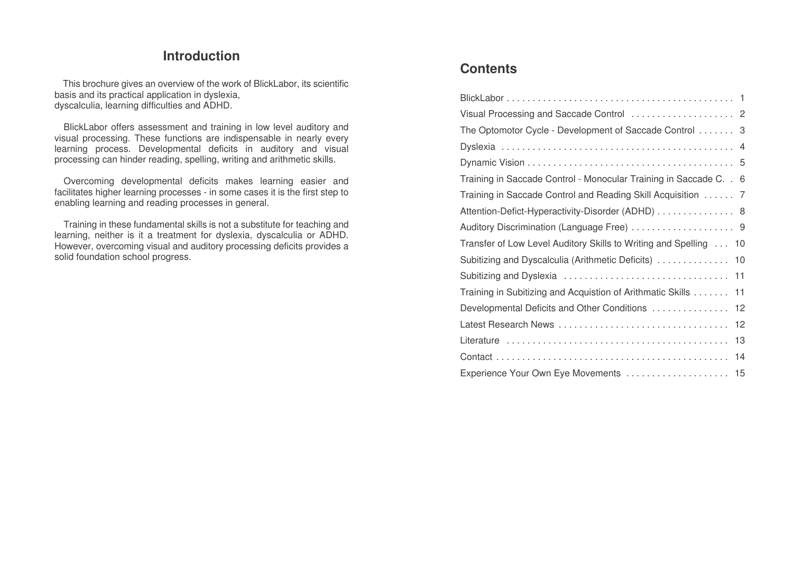## **Introduction**

This brochure gives an overview of the work of BlickLabor, its scientific basis and its practical application in dyslexia, dyscalculia, learning difficulties and ADHD.

BlickLabor offers assessment and training in low level auditory and visual processing. These functions are indispensable in nearly every learning process. Developmental deficits in auditory and visual processing can hinder reading, spelling, writing and arithmetic skills.

Overcoming developmental deficits makes learning easier and facilitates higher learning processes - in some cases it is the first step to enabling learning and reading processes in general.

Training in these fundamental skills is not <sup>a</sup> substitute for teaching and learning, neither is it <sup>a</sup> treatment for dyslexia, dyscalculia or ADHD. However, overcoming visual and auditory processing deficits provides <sup>a</sup> solid foundation school progress.

# **Contents**

| The Optomotor Cycle - Development of Saccade Control 3             |
|--------------------------------------------------------------------|
|                                                                    |
|                                                                    |
| Training in Saccade Control - Monocular Training in Saccade C. . 6 |
| Training in Saccade Control and Reading Skill Acquisition 7        |
| Attention-Defict-Hyperactivity-Disorder (ADHD) 8                   |
|                                                                    |
| Transfer of Low Level Auditory Skills to Writing and Spelling 10   |
| Subitizing and Dyscalculia (Arithmetic Deficits)  10               |
|                                                                    |
| Training in Subitizing and Acquistion of Arithmatic Skills<br>11   |
| Developmental Deficits and Other Conditions<br>12                  |
| Latest Research News<br>12                                         |
| 13                                                                 |
| 14                                                                 |
| Experience Your Own Eye Movements<br>15                            |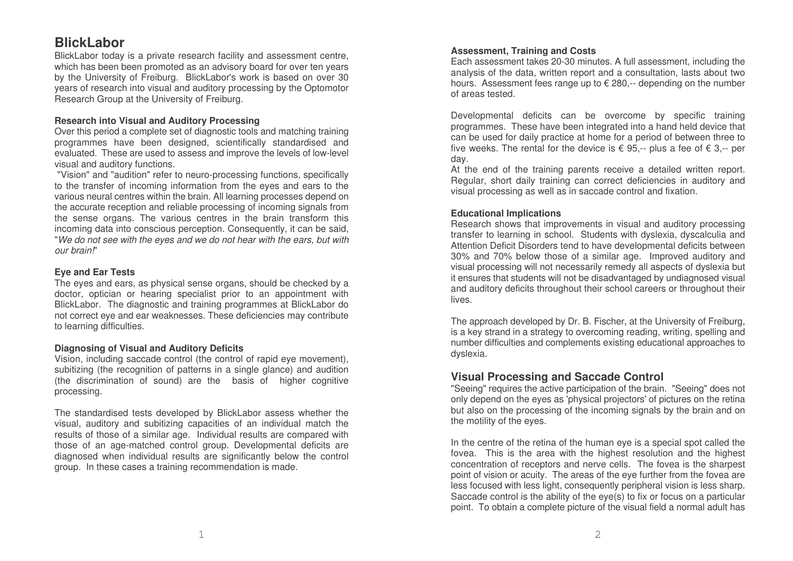# **BlickLabor**

BlickLabor today is a private research facility and assessment centre, which has been been promoted as an advisory board for over ten years by the University of Freiburg. BlickL abor's work is basedon o ver 30years of research into visual and auditory processing by the Optomotor R ese arch Group at the Univ ersity of Freiburg.

#### **Research into Visual andAuditory Processing**

Over this period a complete set of diagnostic tools and matching training programmes have been designed, scientifically standardised and evaluated. These are used to assess and improve the levels of low-level visual and auditory functions.

"Vision" and "audition" refer to neuro-processing functions, sp ecifically to the transfer of inco ming inform ation fro m the ey es andears to the various neural centres within the brain. All learning processes d ep endonthe accurate reception and reliable processing of incoming signals from the sense organs. The various centres in the brain transform this inco ming d ata into conscious p erce ption. C onse quently, it can b e said, "We do not see with the eyes and we do not hear with the ears, but with *our brain!*"

#### **Ey eandEar Tests**

The eyes and ears, as physical sense organs, should be checked by a doctor, optician or hearing specialist prior to an appointment with BlickLabor. The diagnostic and training programmes at BlickLabor do not correct eye and ear weaknesses. These deficiencies may contribute to le arning difficulties.

#### **Diag nosing of Visual andAuditory Deficits**

Vision, including saccade control (the control of rapid eye movement), subitizing (the recognition of patterns in a single glance) and audition (the discrimination of sound) are the basis of higher co gnitiv eprocessing.

The standardised tests developed by BlickLabor assess whether the visual, auditory and subitizing capacities of an individual match the results of those of a similar age. Individual results are compared with those of an age-matched control group. Developmental deficits are diagnosed when individual results are significantly below the control group. In these cases a training recommendation is made.

#### **Assessment, Training and Costs**

E ach assessment takes 2 0-3 0 minutes. A full assessment, including the analysis of the data, written report and a consultation, lasts about two hours. Assessment fees range up to € 280,-- depending on the number of areas tested.

Developmental deficits can be overcome by specific training programmes. These have been integrated into a hand held device that can b e use d for d aily practice at home for a p eriodof between thre e to five weeks. The rental for the device is € 95,-- plus a fee of € 3,-- per day.

At the end of the training parents receive a detailed written report. Regular, short daily training can correct deficiencies in auditory and visual processing as well as in sacca de control and fix ation.

#### **Educational Implic ations**

Research shows that improvements in visual and auditory processing transfer to learning in school. Students with dyslexia, dyscalculia and Attention Deficit Disorders tend to have developmental deficits between 30% and 70% below those of a similar age. Improved auditory and visual processing will not necessarily remedy all aspects of dyslexia but it ensures that students will not be disadvantaged by undiagnosed visual and auditory deficits throughout their school careers or throughout their lives.

The approach developed by Dr. B. Fischer, at the University of Freiburg, is a key strand in a strategy to overcoming reading, writing, spelling and number difficulties and co mple ments existing educational ap pro aches tod ysle xia.

#### Visual Processing and Saccade Control

"Seeing" requires the active participation of the brain. "Seeing" does not only d e p end on the e y es as 'physical projectors' of pictures on the retina but also on the processing of the incoming signals by the brain and on the motility of the eyes.

In the centre of the retina of the human eye is a special spot called the fovea. This is the area with the highest resolution and the highest concentration of receptors and nerve cells. The fovea is the sharpest point of vision or acuity. The areas of the eye further from the fovea are less focuse d with less light, conse quently p eripheral vision is less sharp. Saccade control is the ability of the eye(s) to fix or focus on a particular point. To obtain a complete picture of the visual field a normal adult has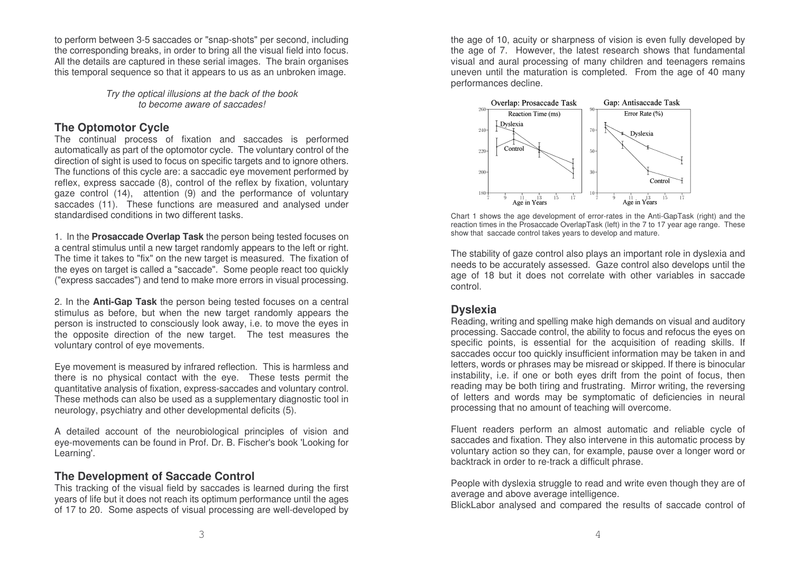to perform between 3-5 saccades or "snap-shots" per second, including the corresponding breaks, in order to bring all the visual field into focus. All the details are captured in these serial images. The brain organises this temporal sequence so that it appears to us as an unbroken image.

> *Try th eoptic al illusionsat thebackof thebooktobecomeawareof saccades!*

#### **TheOpto motor Cy cle**

The continual process of fix ation and sacca d es is p erforme d automatically as part of the optomotor cycle. The voluntary control of the direction of sight is used to focus on specific targets and to ignore others. The functions of this cycle are: a saccadic eye movement performed by reflex, express saccade (8), control of the reflex by fixation, voluntary gaze control (14), attention (9) and the performance of voluntary saccades (11). These functions are measured and analysed under standardised conditions in two different tasks.

1. In the **ProsaccadeOverlap Task** the p erson b eing teste d focuses on a central stimulus until a ne w targ et randomly ap p ears to the left or right. The time it takes to "fix" on the new target is measured. The fixation of the eyes on target is called a "saccade". Some people react too quickly ("e x press sacca des") and tend to makemoreerrors in visual processing.

2. In the **Anti-Ga p Ta s k** the p erson b eing teste d focuses on a central stimulus as before, but when the new target randomly appears the person is instructed to consciously look away, i.e. to move the eyes in the opposite direction of the new target. The test measures the voluntary control of eye movements.

Eye movement is measured by infrared reflection. This is harmless and there is no physical contact with the eye. These tests permit the quantitative analysis of fixation, express-saccades and voluntary control. These methods can also be used as a supplementary diagnostic tool in neurology, psychiatry and other developmental deficits (5).

A d etaile d account of the neuro biolo gical principles of vision and eye-movements can be found in Prof. Dr. B. Fischer's book 'Looking for Learning'.

## **The Development of Saccade Control**

This tracking of the visual field by saccades is learned during the first years of life but it does not reach its optimum performance until the ages of 17 to 20. Some aspects of visual processing are well-developed by the age of 10, acuity or sharpness of vision is even fully developed by the age of 7. However, the latest research shows that fundamental visual and aural processing of many children and teenagers remains uneven until the maturation is completed. From the age of 40 many p erformances decline.



Chart 1 shows the age development of error-rates in the Anti-GapTask (right) and the reaction times in the Prosaccade OverlapTask (left) in the 7 to 17 year age range. These show that saccade control takes years to develop and mature.

The stability of gaze control also plays an important role in dyslexia and ne e ds to b e accurately assesse d. G aze control also d e v elo ps until the age of 18 but it does not correlate with other variables in saccade control.

#### **Dy slexia**

Reading, writing and spelling make high demands on visual and auditory processing. S accade control, the ability to focus and refocus the ey es onsp ecific p oints, is essential for the acquisition of re ading skills. If saccades occur too quickly insufficient information may be taken in and letters, words or phrases may be misread or skipped. If there is binocular instability, i.e. if one or both eyes drift from the point of focus, then reading may be both tiring and frustrating. Mirror writing, the reversing of letters and words may be symptomatic of deficiencies in neural processing that no amount of teaching will overcome.

Fluent readers perform an almost automatic and reliable cycle of saccades and fixation. They also intervene in this automatic process by voluntary action so they can, for example, pause over a longer word or b acktrack in ord er to re-track a difficult phrase.

People with dyslexia struggle to read and write even though they are of average and above average intelligence.

BlickLabor analysed and compared the results of saccade control of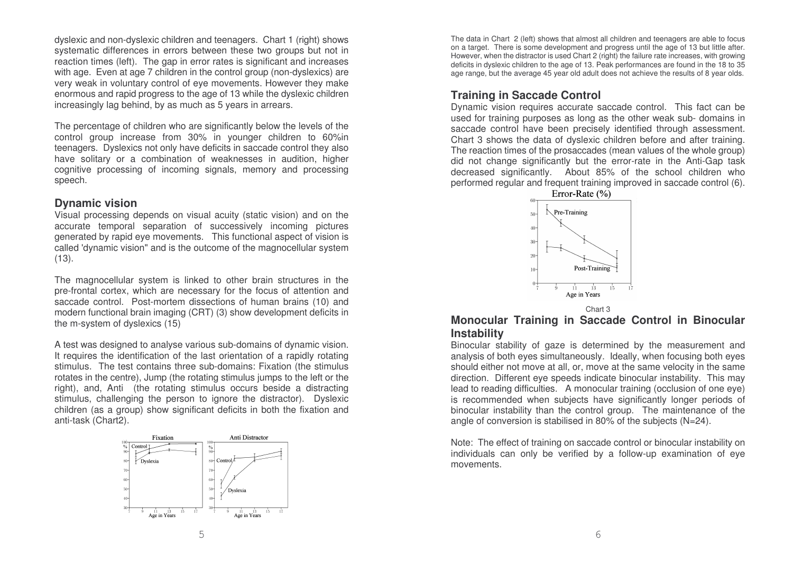dyslexic and non-dyslexic children and teenagers. Chart 1 (right) shows systematic differences in errors between these two groups but not in reaction times (left). The gap in error rates is significant and increases with age. Even at age 7 children in the control group (non-dyslexics) are very weak in voluntary control of eye movements. However they make enormous and rapid progress to the age of 13 while the dyslexic children increasingly lag behind, by as much as 5 years in arrears.

The percentage of children who are significantly below the levels of the control group increase from 30% in younger children to 60%in teenagers. Dyslexics not only have deficits in saccade control they also have solitary or <sup>a</sup> combination of weaknesses in audition, higher cognitive processing of incoming signals, memory and processing speech.

#### **Dynamic vision**

Visual processing depends on visual acuity (static vision) and on the accurate temporal separation of successively incoming pictures generated by rapid eye movements. This functional aspect of vision is called 'dynamic vision" and is the outcome of the magnocellular system (13).

The magnocellular system is linked to other brain structures in the pre-frontal cortex, which are necessary for the focus of attention and saccade control. Post-mortem dissections of human brains (10) and modern functional brain imaging (CRT) (3) show development deficits in the m-system of dyslexics (15)

A test was designed to analyse various sub-domains of dynamic vision. It requires the identification of the last orientation of <sup>a</sup> rapidly rotating stimulus. The test contains three sub-domains: Fixation (the stimulus rotates in the centre), Jump (the rotating stimulus jumps to the left or the right), and, Anti (the rotating stimulus occurs beside <sup>a</sup> distracting stimulus, challenging the person to ignore the distractor). Dyslexic children (as <sup>a</sup> group) show significant deficits in both the fixation and anti-task (Chart2).



The data in Chart 2 (left) shows that almost all children and teenagers are able to focus on <sup>a</sup> target. There is some development and progress until the age of 13 but little after. However, when the distractor is used Chart 2 (right) the failure rate increases, with growing deficits in dyslexic children to the age of 13. Peak performances are found in the 18 to 35 age range, but the average 45 year old adult does not achieve the results of 8 year olds.

#### **Training in Saccade Control**

Dynamic vision requires accurate saccade control. This fact can be used for training purposes as long as the other weak sub- domains in saccade control have been precisely identified through assessment. Chart 3 shows the data of dyslexic children before and after training. The reaction times of the prosaccades (mean values of the whole group) did not change significantly but the error-rate in the Anti-Gap task decreased significantly. About 85% of the school children who performed regular and frequent training improved in saccade control (6).



Chart 3

#### **Monocular Training in Saccade Control in Binocular Instability**

Binocular stability of gaze is determined by the measurement and analysis of both eyes simultaneously. Ideally, when focusing both eyes should either not move at all, or, move at the same velocity in the same direction. Different eye speeds indicate binocular instability. This may lead to reading difficulties. A monocular training (occlusion of one eye) is recommended when subjects have significantly longer periods of binocular instability than the control group. The maintenance of the angle of conversion is stabilised in 80% of the subjects (N=24).

Note: The effect of training on saccade control or binocular instability on individuals can only be verified by <sup>a</sup> follow-up examination of eye movements.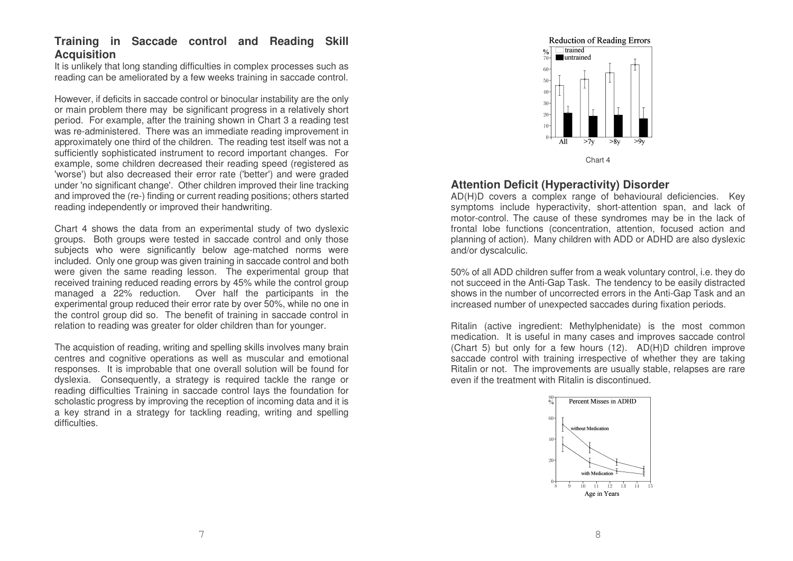#### **Training in Saccade control and Reading Skill Acquisition**

It is unlikely that long standing difficulties in complex processes such as reading can be ameliorated by <sup>a</sup> few weeks training in saccade control.

However, if deficits in saccade control or binocular instability are the only or main problem there may be significant progress in <sup>a</sup> relatively short period. For example, after the training shown in Chart 3 <sup>a</sup> reading test was re-administered. There was an immediate reading improvement in approximately one third of the children. The reading test itself was not <sup>a</sup> sufficiently sophisticated instrument to record important changes. For example, some children decreased their reading speed (registered as 'worse') but also decreased their error rate ('better') and were graded under 'no significant change'. Other children improved their line tracking and improved the (re-) finding or current reading positions; others started reading independently or improved their handwriting.

Chart 4 shows the data from an experimental study of two dyslexic groups. Both groups were tested in saccade control and only those subjects who were significantly below age-matched norms were included. Only one group was given training in saccade control and both were given the same reading lesson. The experimental group that received training reduced reading errors by 45% while the control group managed <sup>a</sup> 22% reduction. Over half the participants in the experimental group reduced their error rate by over 50%, while no one in the control group did so. The benefit of training in saccade control in relation to reading was greater for older children than for younger.

The acquistion of reading, writing and spelling skills involves many brain centres and cognitive operations as well as muscular and emotional responses. It is improbable that one overall solution will be found for dyslexia. Consequently, <sup>a</sup> strategy is required tackle the range or reading difficulties Training in saccade control lays the foundation for scholastic progress by improving the reception of incoming data and it is a key strand in <sup>a</sup> strategy for tackling reading, writing and spelling difficulties.

#### **Reduction of Reading Errors**  $\overline{\phantom{a}}$  trained  $\%$  $\blacksquare$ untrained 60  $40$  $30 20 10$ All  $>7y$  $>8y$

Chart 4

#### **Attention Deficit (Hyperactivity) Disorder**

AD(H)D covers <sup>a</sup> complex range of behavioural deficiencies. Key symptoms include hyperactivity, short-attention span, and lack of motor-control. The cause of these syndromes may be in the lack of frontal lobe functions (concentration, attention, focused action and planning of action). Many children with ADD or ADHD are also dyslexic and/or dyscalculic.

50% of all ADD children suffer from <sup>a</sup> weak voluntary control, i.e. they do not succeed in the Anti-Gap Task. The tendency to be easily distracted shows in the number of uncorrected errors in the Anti-Gap Task and an increased number of unexpected saccades during fixation periods.

Ritalin (active ingredient: Methylphenidate) is the most common medication. It is useful in many cases and improves saccade control (Chart 5) but only for <sup>a</sup> few hours (12). AD(H)D children improve saccade control with training irrespective of whether they are taking Ritalin or not. The improvements are usually stable, relapses are rare even if the treatment with Ritalin is discontinued.

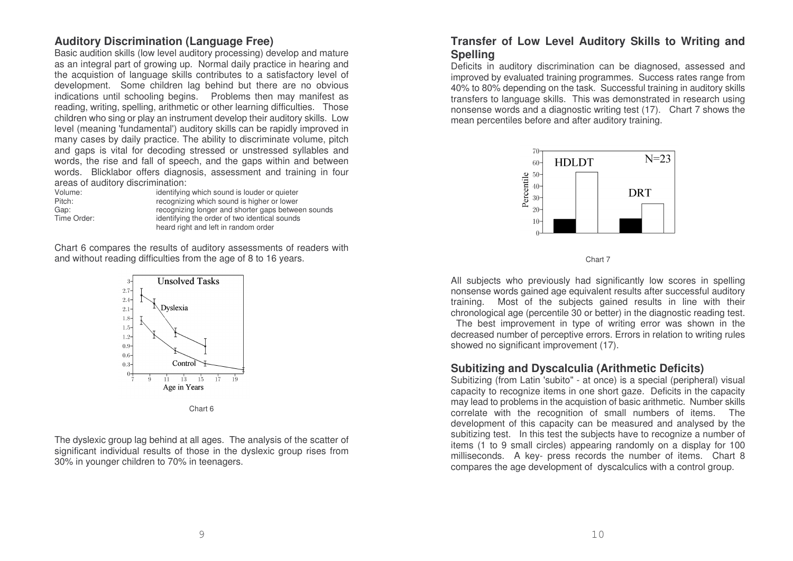#### **Auditory Discrimination (Language Free)**

Basic audition skills (low level auditory processing) develop and mature as an integral part of growing up. Normal daily practice in hearing and the acquistion of language skills contributes to <sup>a</sup> satisfactory level of development. Some children lag behind but there are no obvious indications until schooling begins. Problems then may manifest as reading, writing, spelling, arithmetic or other learning difficulties. Those children who sing or play an instrument develop their auditory skills. Low level (meaning 'fundamental') auditory skills can be rapidly improved in many cases by daily practice. The ability to discriminate volume, pitch and gaps is vital for decoding stressed or unstressed syllables and words, the rise and fall of speech, and the gaps within and between words. Blicklabor offers diagnosis, assessment and training in four areas of auditory discrimination:

Volume:Pitch:Time Order:

 identifying which sound is louder or quieter recognizing which sound is higher or lower Gap: recognizing longer and shorter gaps between sounds identifying the order of two identical sounds heard right and left in random order

Chart 6 compares the results of auditory assessments of readers with and without reading difficulties from the age of 8 to 16 years.



The dyslexic group lag behind at all ages. The analysis of the scatter of significant individual results of those in the dyslexic group rises from 30% in younger children to 70% in teenagers.

#### **Transfer of Low Level Auditory Skills to Writing and Spelling**

Deficits in auditory discrimination can be diagnosed, assessed and improved by evaluated training programmes. Success rates range from 40% to 80% depending on the task. Successful training in auditory skills transfers to language skills. This was demonstrated in research using nonsense words and <sup>a</sup> diagnostic writing test (17). Chart 7 shows the mean percentiles before and after auditory training.



Chart 7

All subjects who previously had significantly low scores in spelling nonsense words gained age equivalent results after successful auditory training. Most of the subjects gained results in line with their chronological age (percentile 30 or better) in the diagnostic reading test.

The best improvement in type of writing error was shown in the decreased number of perceptive errors. Errors in relation to writing rules showed no significant improvement (17).

#### **Subitizing and Dyscalculia (Arithmetic Deficits)**

Subitizing (from Latin 'subito" - at once) is a special (peripheral) visual capacity to recognize items in one short gaze. Deficits in the capacity may lead to problems in the acquistion of basic arithmetic. Number skills correlate with the recognition of small numbers of items. The development of this capacity can be measured and analysed by the subitizing test. In this test the subjects have to recognize <sup>a</sup> number of items (1 to 9 small circles) appearing randomly on <sup>a</sup> display for 100 milliseconds. A key- press records the number of items. Chart 8 compares the age development of dyscalculics with <sup>a</sup> control group.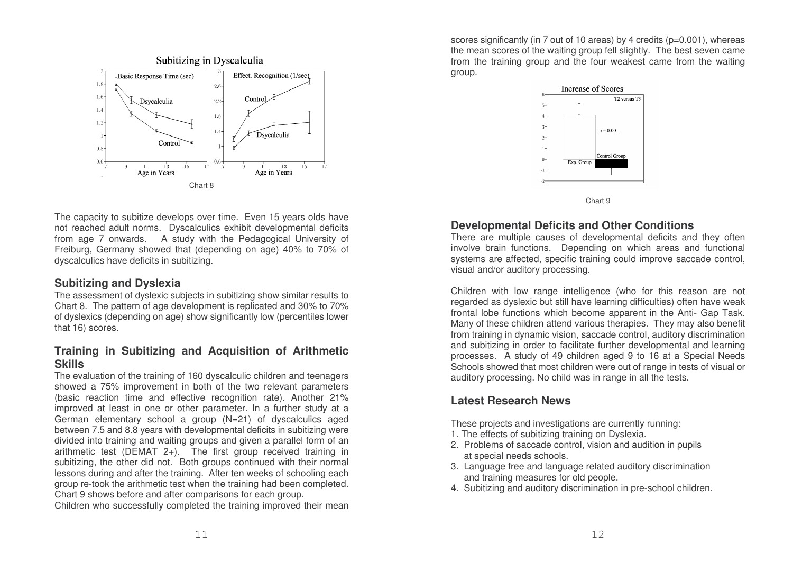

The capacity to subitize develops over time. Even 15 years olds have not reached adult norms. Dyscalculics exhibit developmental deficits from age 7 onwards. A study with the Pedagogical University of Freiburg, Germany showed that (depending on age) 40% to 70% of dyscalculics have deficits in subitizing.

#### **Subitizing and Dyslexia**

The assessment of dyslexic subjects in subitizing show similar results to Chart 8. The pattern of age development is replicated and 30% to 70% of dyslexics (depending on age) show significantly low (percentiles lower that 16) scores.

## **Training in Subitizing and Acquisition of Arithmetic Skills**

The evaluation of the training of 160 dyscalculic children and teenagers showed a 75% improvement in both of the two relevant parameters (basic reaction time and effective recognition rate). Another 21% improved at least in one or other parameter. In <sup>a</sup> further study at <sup>a</sup> German elementary school <sup>a</sup> group (N=21) of dyscalculics aged between 7.5 and 8.8 years with developmental deficits in subitizing were divided into training and waiting groups and given <sup>a</sup> parallel form of an arithmetic test (DEMAT 2+). The first group received training in subitizing, the other did not. Both groups continued with their normal lessons during and after the training. After ten weeks of schooling each group re-took the arithmetic test when the training had been completed. Chart 9 shows before and after comparisons for each group.

Children who successfully completed the training improved their mean

scores significantly (in 7 out of 10 areas) by 4 credits (p=0.001), whereas the mean scores of the waiting group fell slightly. The best seven came from the training group and the four weakest came from the waiting group.



Chart 9

## **Developmental Deficits and Other Conditions**

There are multiple causes of developmental deficits and they often involve brain functions. Depending on which areas and functional systems are affected, specific training could improve saccade control, visual and/or auditory processing.

Children with low range intelligence (who for this reason are not regarded as dyslexic but still have learning difficulties) often have weak frontal lobe functions which become apparent in the Anti- Gap Task. Many of these children attend various therapies. They may also benefit from training in dynamic vision, saccade control, auditory discrimination and subitizing in order to facilitate further developmental and learning processes. A study of 49 children aged 9 to 16 at <sup>a</sup> Special Needs Schools showed that most children were out of range in tests of visual or auditory processing. No child was in range in all the tests.

## **Latest Research News**

These projects and investigations are currently running:

- 1. The effects of subitizing training on Dyslexia.
- 2. Problems of saccade control, vision and audition in pupils at special needs schools.
- 3. Language free and language related auditory discrimination and training measures for old people.
- 4. Subitizing and auditory discrimination in pre-school children.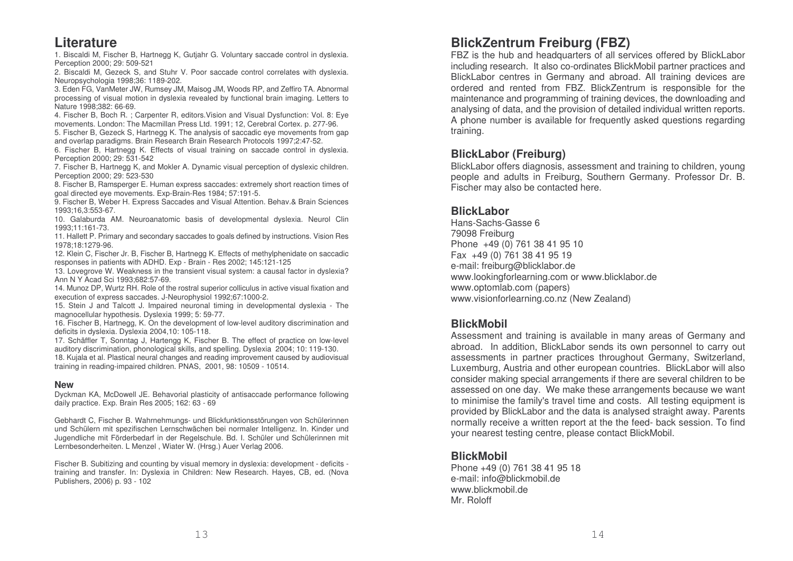# **Literature**

1. Biscaldi M, Fischer B, Hartnegg K, Gutjahr G. Voluntary saccade control in dyslexia. Perception 2000; 29: 509-521

2. Biscaldi M, Gezeck S, and Stuhr V. Poor saccade control correlates with dyslexia. Neuropsychologia 1998;36: 1189-202.

3. Eden FG, VanMeter JW, Rumsey JM, Maisog JM, Woods RP, and Zeffiro T A. Abnormal processing of visual motion in dyslexia revealed by functional brain imaging. Letters to Nature 1998;382: 66-69.

4. Fischer B, Boch R. ; Carpenter R, editors.Vision and Visual Dysfunction: Vol. 8: Eye movements. London: The Macmillan Press Ltd. 1991; 12, Cerebral Cortex. p. 277-96.

5. Fischer B, Gezeck S, Hartnegg K. The analysis of saccadic eye movements from gap and overlap paradigms. Brain Research Brain Research Protocols 1997;2:47-52.

6. Fischer B, Hartnegg K. Effects of visual training on saccade control in dyslexia. Perception 2000; 29: 531-542

7. Fischer B, Hartnegg K, and Mokler A. Dynamic visual perception of dyslexic children. Perception 2000; 29: 523-530

8. Fischer B, Ramsperger E. Human express saccades: extremely short reaction times of goal directed eye movements. Exp-Brain-Res 1984; 57:191-5.

9. Fischer B, Weber H. Express Saccades and Visual Attention. Behav.& Brain Sciences 1993;16,3:553-67.

10. Galaburda A M. Neuroanatomic basis of developmental dyslexia. Neurol Clin 1993;11:161-73.

11. Hallett P. Primary and secondary saccades to goals defined by instructions. Vision Res 1978;18:1279-96.

12. Klein C, Fischer Jr. B, Fischer B, Hartnegg K. Effects of methylphenidate on saccadic responses in patients with A DHD. Exp - Brain - Res 2002; 145:121-125

13. Lovegrove W. Weakness in the transient visual system: <sup>a</sup> causal factor in dyslexia? Ann NYAcad Sci 1993;682:57-69.

14. Munoz DP, Wurtz RH. Role of the rostral superior colliculus in active visual fixation and execution of express saccades. J-Neurophysiol 1992;67:1000-2.

15. Stein J and Talcott J. Impaired neuronal timing in developmental dyslexia - The magnocellular hypothesis. Dyslexia 1999; 5: 59-77.

16. Fischer B, Hartnegg, K. On the development of low-level auditory discrimination and deficits in dyslexia. Dyslexia 2004,10: 105-118.

17. Schäffler T, Sonntag J, Hartengg K, Fischer B. The effect of practice on low-level auditory discrimination, phonological skills, and spelling. Dyslexia 2004; 10: 119-130. 18. Kujala et al. Plastical neural changes and reading improvement caused by audiovisual training in reading-impaired children. PN AS, 2001, 98: 10509 - 10514.

#### **New**

Dyckman K A, McDowell JE. Behavorial plasticity of antisaccade performance following daily practice. Exp. Brain Res 2005; 162: 63 - 69

Gebhardt C, Fischer B. Wahrnehmungs- und Blickfunktionsstörungen von Schülerinnen und Schülern mit spezifischen Lernschwächen bei normaler Intelligenz. In. Kinder und Jugendliche mit Förderbedarf in der Regelschule. Bd. I. Schüler und Schülerinnen mit Lernbesonderheiten. L Menzel , Wiater W. (Hrsg.) Auer Verlag 2006.

Fischer B. Subitizing and counting by visual memory in dyslexia: development - deficits training and transfer. In: Dyslexia in Children: New Research. Hayes, CB, ed. (Nova Publishers, 2006) p. 93 - 102

## **Blic k Z e ntru mFreib urg (F B Z)**

FBZ is the hub and headquarters of all services offered by BlickLabor including rese arch. It also co-ordinates BlickMobil p artner practices and BlickLabor centres in Germany and abroad. All training devices are ordered and rented from FBZ. BlickZentrum is responsible for the maintenance and programming of training devices, the downloading and analysing of data, and the provision of detailed individual written reports. A phone number is available for frequently asked questions regarding training.

## **BlickLabor (Freib urg)**

BlickL a b or offers dia gnosis, assessm ent and training to children, y oung people and adults in Freiburg, Southern Germany. Professor Dr. B. Fischer may alsobe contacte d here.

#### **BlickLabor**

Hans-Sachs-Gasse 6 79098 Freiburg Phone + 4 9 (0) 7 61 3 8 41 9 5 10 F a x + 4 9 (0) 7 61 3 8 41 9 5 19 e-mail: freiburg @ blickla b or.d e www.lookingforle arning.co mor www.blicklabor.dewww.opto mlab.com (p ap ers) www.visionforlearning.co.nz (New Zealand)

#### **BlickMobil**

Assessment and training is available in many areas of Germany and abroad. In addition, BlickLabor sends its own personnel to carry out assessments in partner practices throughout Germany, Switzerland, Luxemburg, Austria and other european countries. BlickLabor will also consider making sp ecial arrang ements if thereare se veral children to beassessed on one day. We make these arrangements because we want to minimise the family's travel time and costs. All testing equipment is provided by BlickLabor and the data is analysed straight away. Parents normally receive a written report at the the feed- back session. To find y our ne arest testing centre, ple ase contact BlickM o bil.

#### **BlickMobil**

Phone + 4 9 (0) 7 61 3 8 41 9 5 18 e-m ail: info @ blickm o bil.d e www.blickmobil.deMr. Roloff